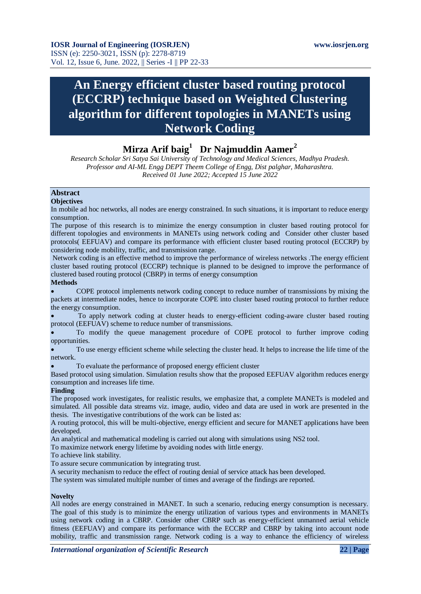# **An Energy efficient cluster based routing protocol (ECCRP) technique based on Weighted Clustering algorithm for different topologies in MANETs using Network Coding**

## **Mirza Arif baig<sup>1</sup> Dr Najmuddin Aamer<sup>2</sup>**

*Research Scholar Sri Satya Sai University of Technology and Medical Sciences, Madhya Pradesh. Professor and AI-ML Engg DEPT Theem College of Engg, Dist palghar, Maharashtra. Received 01 June 2022; Accepted 15 June 2022*

## **Abstract**

#### **Objectives**

In mobile ad hoc networks, all nodes are energy constrained. In such situations, it is important to reduce energy consumption.

The purpose of this research is to minimize the energy consumption in cluster based routing protocol for different topologies and environments in MANETs using network coding and Consider other cluster based protocols( EEFUAV) and compare its performance with efficient cluster based routing protocol (ECCRP) by considering node mobility, traffic, and transmission range.

Network coding is an effective method to improve the performance of wireless networks .The energy efficient cluster based routing protocol (ECCRP) technique is planned to be designed to improve the performance of clustered based routing protocol (CBRP) in terms of energy consumption

#### **Methods**

 COPE protocol implements network coding concept to reduce number of transmissions by mixing the packets at intermediate nodes, hence to incorporate COPE into cluster based routing protocol to further reduce the energy consumption.

 To apply network coding at cluster heads to energy-efficient coding-aware cluster based routing protocol (EEFUAV) scheme to reduce number of transmissions.

 To modify the queue management procedure of COPE protocol to further improve coding opportunities.

 To use energy efficient scheme while selecting the cluster head. It helps to increase the life time of the network.

To evaluate the performance of proposed energy efficient cluster

Based protocol using simulation. Simulation results show that the proposed EEFUAV algorithm reduces energy consumption and increases life time.

#### **Finding**

The proposed work investigates, for realistic results, we emphasize that, a complete MANETs is modeled and simulated. All possible data streams viz. image, audio, video and data are used in work are presented in the thesis. The investigative contributions of the work can be listed as:

A routing protocol, this will be multi-objective, energy efficient and secure for MANET applications have been developed.

An analytical and mathematical modeling is carried out along with simulations using NS2 tool.

To maximize network energy lifetime by avoiding nodes with little energy.

To achieve link stability.

To assure secure communication by integrating trust.

A security mechanism to reduce the effect of routing denial of service attack has been developed.

The system was simulated multiple number of times and average of the findings are reported.

#### **Novelty**

All nodes are energy constrained in MANET. In such a scenario, reducing energy consumption is necessary. The goal of this study is to minimize the energy utilization of various types and environments in MANETs using network coding in a CBRP. Consider other CBRP such as energy-efficient unmanned aerial vehicle fitness (EEFUAV) and compare its performance with the ECCRP and CBRP by taking into account node mobility, traffic and transmission range. Network coding is a way to enhance the efficiency of wireless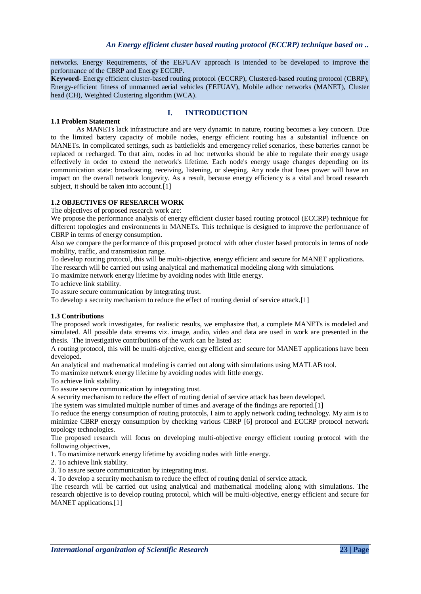networks. Energy Requirements, of the EEFUAV approach is intended to be developed to improve the performance of the CBRP and Energy ECCRP.

**Keyword**- Energy efficient cluster-based routing protocol (ECCRP), Clustered-based routing protocol (CBRP), Energy-efficient fitness of unmanned aerial vehicles (EEFUAV), Mobile adhoc networks (MANET), Cluster head (CH), Weighted Clustering algorithm (WCA).

#### **1.1 Problem Statement**

## **I. INTRODUCTION**

As MANETs lack infrastructure and are very dynamic in nature, routing becomes a key concern. Due to the limited battery capacity of mobile nodes, energy efficient routing has a substantial influence on MANETs. In complicated settings, such as battlefields and emergency relief scenarios, these batteries cannot be replaced or recharged. To that aim, nodes in ad hoc networks should be able to regulate their energy usage effectively in order to extend the network's lifetime. Each node's energy usage changes depending on its communication state: broadcasting, receiving, listening, or sleeping. Any node that loses power will have an impact on the overall network longevity. As a result, because energy efficiency is a vital and broad research subject, it should be taken into account.<sup>[1]</sup>

## **1.2 OBJECTIVES OF RESEARCH WORK**

The objectives of proposed research work are:

We propose the performance analysis of energy efficient cluster based routing protocol (ECCRP) technique for different topologies and environments in MANETs. This technique is designed to improve the performance of CBRP in terms of energy consumption.

Also we compare the performance of this proposed protocol with other cluster based protocols in terms of node mobility, traffic, and transmission range.

To develop routing protocol, this will be multi-objective, energy efficient and secure for MANET applications. The research will be carried out using analytical and mathematical modeling along with simulations.

To maximize network energy lifetime by avoiding nodes with little energy.

To achieve link stability.

To assure secure communication by integrating trust.

To develop a security mechanism to reduce the effect of routing denial of service attack.[1]

#### **1.3 Contributions**

The proposed work investigates, for realistic results, we emphasize that, a complete MANETs is modeled and simulated. All possible data streams viz. image, audio, video and data are used in work are presented in the thesis. The investigative contributions of the work can be listed as:

A routing protocol, this will be multi-objective, energy efficient and secure for MANET applications have been developed.

An analytical and mathematical modeling is carried out along with simulations using MATLAB tool.

To maximize network energy lifetime by avoiding nodes with little energy.

To achieve link stability.

To assure secure communication by integrating trust.

A security mechanism to reduce the effect of routing denial of service attack has been developed.

The system was simulated multiple number of times and average of the findings are reported.[1]

To reduce the energy consumption of routing protocols, I aim to apply network coding technology. My aim is to minimize CBRP energy consumption by checking various CBRP [6] protocol and ECCRP protocol network topology technologies.

The proposed research will focus on developing multi-objective energy efficient routing protocol with the following objectives,

1. To maximize network energy lifetime by avoiding nodes with little energy.

2. To achieve link stability.

3. To assure secure communication by integrating trust.

4. To develop a security mechanism to reduce the effect of routing denial of service attack.

The research will be carried out using analytical and mathematical modeling along with simulations. The research objective is to develop routing protocol, which will be multi-objective, energy efficient and secure for MANET applications.[1]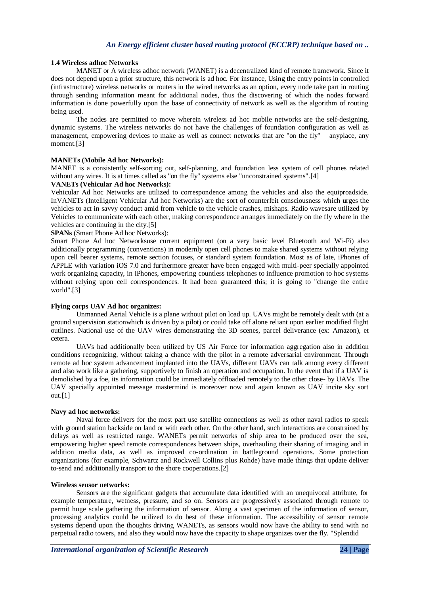### **1.4 Wireless adhoc Networks**

[MANET o](https://en.wikipedia.org/wiki/MANET)r A wireless adhoc network (WANET) is a decentralized kind of remote framework. Since it does not depend upon a prior structure, this network i[s ad hoc.](https://en.wikipedia.org/wiki/Ad_hoc) For instance, Using the [entry points i](https://en.wikipedia.org/wiki/Wireless_access_point)n controlled (infrastructure) wireless networks or routers in the wired networks as an option, every [node t](https://en.wikipedia.org/wiki/Node_(computer_science))ake part in routing through sending information meant for additional nodes, thus the discovering of which the nodes forward information is done powerfully upon the base of connectivity of network as well as the algorithm of routing being used.

The nodes are permitted to move wherein wireless ad hoc mobile networks are the self-designing, dynamic systems. The wireless networks do not have the challenges of foundation configuration as well as management, empowering devices to make as well as connect networks that are "on the fly" – anyplace, any moment.[3]

#### **MANETs (Mobile Ad hoc Networks):**

MANET is a consistently self-sorting out, self-planning, and foundation less system of cell phones related without any wires. It is at times called as "on the fly" systems else "unconstrained systems".[4]

#### **VANETs (Vehicular Ad hoc Networks):**

Vehicular Ad hoc Networks are utilized to correspondence among the vehicles and also the equiproadside. InVANETs [\(Intelligent Vehicular Ad hoc Networks\)](https://en.wikipedia.org/wiki/Intelligent_vehicular_ad_hoc_network) are the sort of counterfeit consciousness which urges the vehicles to act in savvy conduct amid from vehicle to the vehicle crashes, mishaps. Radio wavesare utilized by Vehicles to communicate with each other, making correspondence arranges immediately on the fly where in the vehicles are continuing in the city.[5]

#### **SPANs** [\(Smart Phone Ad hoc Networks\)](https://en.wikipedia.org/wiki/Smart_phone_ad_hoc_network):

[Smart Phone Ad hoc Networksu](https://en.wikipedia.org/wiki/Smart_phone_ad_hoc_network)se current equipment (on a very basic level Bluetooth and Wi-Fi) also additionally programming (conventions) in modernly open cell phones to make shared systems without relying upon cell bearer systems, remote section focuses, or standard system foundation. Most as of late, iPhones of APPLE with variation iOS 7.0 and furthermore greater have been engaged with multi-peer specially appointed work organizing capacity, in iPhones, empowering countless telephones to influence promotion to hoc systems without relying upon cell correspondences. It had been guaranteed this; it is going to "change the entire" world".[3]

#### **Flying corps UAV Ad hoc organizes:**

Unmanned Aerial Vehicle is a plane without pilot on load up. UAVs might be remotely dealt with (at a ground supervision stationwhich is driven by a pilot) or could take off alone reliant upon earlier modified flight outlines. National use of the UAV wires demonstrating the 3D scenes, parcel deliverance (ex: Amazon), et cetera.

UAVs had additionally been utilized by US Air Force for information aggregation also in addition conditions recognizing, without taking a chance with the pilot in a remote adversarial environment. Through remote ad hoc system advancement implanted into the UAVs, different UAVs can talk among every different and also work like a gathering, supportively to finish an operation and occupation. In the event that if a UAV is demolished by a foe, its information could be immediately offloaded remotely to the other close- by UAVs. The UAV specially appointed message mastermind is moreover now and again known as UAV incite sky sort out.[1]

#### **Navy ad hoc networks:**

Naval force delivers for the most part use satellite connections as well as other naval radios to speak with ground station backside on land or with each other. On the other hand, such interactions are constrained by delays as well as restricted range. WANETs permit networks of ship area to be produced over the sea, empowering higher speed remote correspondences between ships, overhauling their sharing of imaging and in addition media data, as well as improved co-ordination in battleground operations. Some protection organizations (for example, Schwartz and Rockwell Collins plus Rohde) have made things that update deliver to-send and additionally transport to the shore cooperations.[2]

#### **Wireless sensor networks:**

Sensors are the significant gadgets that accumulate data identified with an unequivocal attribute, for example temperature, wetness, pressure, and so on. Sensors are progressively associated through remote to permit huge scale gathering the information of sensor. Along a vast specimen of the information of sensor, processing analytics could be utilized to do best of these information. The accessibility of sensor remote systems depend upon the thoughts driving WANETs, as sensors would now have the ability to send with no perpetual radio towers, and also they would now have the capacity to shape organizes over the fly. "Splendid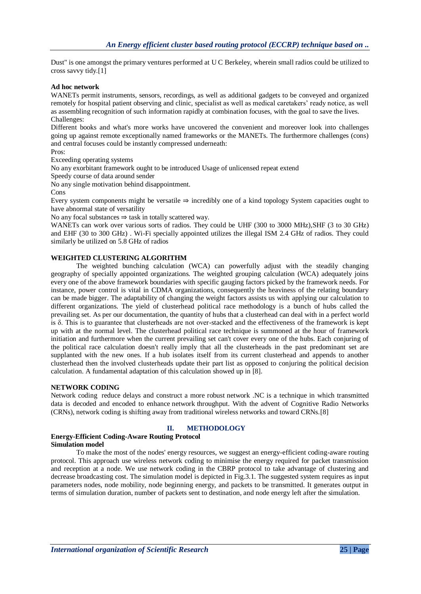Dust" is one amongst the primary ventures performed at U C Berkeley, wherein small radios could be utilized to cross savvy tidy.[1]

#### **Ad hoc network**

WANETs permit instruments, sensors, recordings, as well as additional gadgets to be conveyed and organized remotely for hospital patient observing and clinic, specialist as well as medical caretakers' ready notice, as well as assembling recognition of such information rapidly at combination focuses, with the goal to save the lives. Challenges:

Different books and what's more works have uncovered the convenient and moreover look into challenges going up against remote exceptionally named frameworks or the MANETs. The furthermore challenges (cons) and central focuses could be instantly compressed underneath:

Pros:

Exceeding operating systems

No any exorbitant framework ought to be introduced Usage of unlicensed repeat extend

Speedy course of data around sender

No any single motivation behind disappointment.

Cons

Every system components might be versatile ⇒ incredibly one of a kind topology System capacities ought to have abnormal state of versatility

No any focal substances ⇒ task in totally scattered way.

WANETs can work over various sorts of radios. They could be [UHF \(](https://en.wikipedia.org/wiki/UHF)300 to 3000 MHz), SHF (3 to 30 GHz) and [EHF \(](https://en.wikipedia.org/wiki/EHF)30 to 300 GHz) . Wi-Fi specially appointed utilizes the illegal ISM 2.4 GHz of radios. They could similarly be utilized on 5.8 GHz of radios

#### **WEIGHTED CLUSTERING ALGORITHM**

The weighted bunching calculation (WCA) can powerfully adjust with the steadily changing geography of specially appointed organizations. The weighted grouping calculation (WCA) adequately joins every one of the above framework boundaries with specific gauging factors picked by the framework needs. For instance, power control is vital in CDMA organizations, consequently the heaviness of the relating boundary can be made bigger. The adaptability of changing the weight factors assists us with applying our calculation to different organizations. The yield of clusterhead political race methodology is a bunch of hubs called the prevailing set. As per our documentation, the quantity of hubs that a clusterhead can deal with in a perfect world is δ. This is to guarantee that clusterheads are not over-stacked and the effectiveness of the framework is kept up with at the normal level. The clusterhead political race technique is summoned at the hour of framework initiation and furthermore when the current prevailing set can't cover every one of the hubs. Each conjuring of the political race calculation doesn't really imply that all the clusterheads in the past predominant set are supplanted with the new ones. If a hub isolates itself from its current clusterhead and appends to another clusterhead then the involved clusterheads update their part list as opposed to conjuring the political decision calculation. A fundamental adaptation of this calculation showed up in [8].

#### **NETWORK CODING**

Network coding reduce delays and construct a more robust network .NC is a technique in which transmitted data is decoded and encoded to enhance network throughput. With the advent of Cognitive Radio Networks (CRNs), network coding is shifting away from traditional wireless networks and toward CRNs.[8]

## **II. METHODOLOGY**

#### **Energy-Efficient Coding-Aware Routing Protocol Simulation model**

To make the most of the nodes' energy resources, we suggest an energy-efficient coding-aware routing protocol. This approach use wireless network coding to minimise the energy required for packet transmission and reception at a node. We use network coding in the CBRP protocol to take advantage of clustering and decrease broadcasting cost. The simulation model is depicted in Fig.3.1. The suggested system requires as input parameters nodes, node mobility, node beginning energy, and packets to be transmitted. It generates output in terms of simulation duration, number of packets sent to destination, and node energy left after the simulation.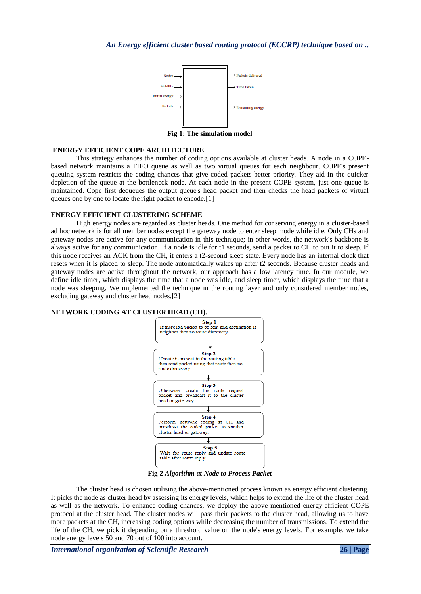

**Fig 1: The simulation model**

#### **ENERGY EFFICIENT COPE ARCHITECTURE**

This strategy enhances the number of coding options available at cluster heads. A node in a COPEbased network maintains a FIFO queue as well as two virtual queues for each neighbour. COPE's present queuing system restricts the coding chances that give coded packets better priority. They aid in the quicker depletion of the queue at the bottleneck node. At each node in the present COPE system, just one queue is maintained. Cope first dequeues the output queue's head packet and then checks the head packets of virtual queues one by one to locate the right packet to encode.<sup>[1]</sup>

#### **ENERGY EFFICIENT CLUSTERING SCHEME**

High energy nodes are regarded as cluster heads. One method for conserving energy in a cluster-based ad hoc network is for all member nodes except the gateway node to enter sleep mode while idle. Only CHs and gateway nodes are active for any communication in this technique; in other words, the network's backbone is always active for any communication. If a node is idle for t1 seconds, send a packet to CH to put it to sleep. If this node receives an ACK from the CH, it enters a t2-second sleep state. Every node has an internal clock that resets when it is placed to sleep. The node automatically wakes up after t2 seconds. Because cluster heads and gateway nodes are active throughout the network, our approach has a low latency time. In our module, we define idle timer, which displays the time that a node was idle, and sleep timer, which displays the time that a node was sleeping. We implemented the technique in the routing layer and only considered member nodes, excluding gateway and cluster head nodes.[2]

#### **NETWORK CODING AT CLUSTER HEAD (CH).**



**Fig 2** *Algorithm at Node to Process Packet*

The cluster head is chosen utilising the above-mentioned process known as energy efficient clustering. It picks the node as cluster head by assessing its energy levels, which helps to extend the life of the cluster head as well as the network. To enhance coding chances, we deploy the above-mentioned energy-efficient COPE protocol at the cluster head. The cluster nodes will pass their packets to the cluster head, allowing us to have more packets at the CH, increasing coding options while decreasing the number of transmissions. To extend the life of the CH, we pick it depending on a threshold value on the node's energy levels. For example, we take node energy levels 50 and 70 out of 100 into account.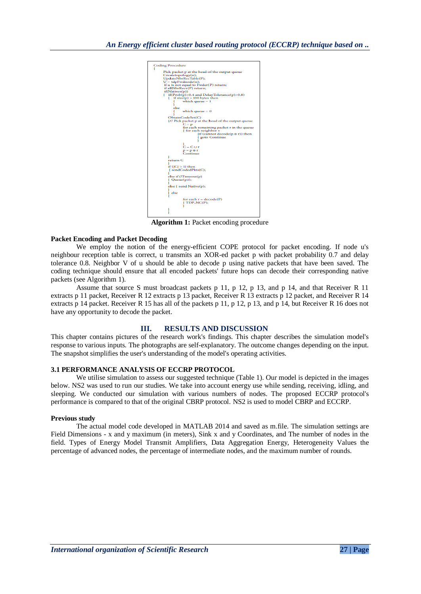| <b>Coding Procedure</b>                                                                                                                                                                   |
|-------------------------------------------------------------------------------------------------------------------------------------------------------------------------------------------|
| Pick packet p at the head of the output queue<br>Createtopology(n);<br>UpdateNbrRecTable(P);<br>$U = tdpFwdnode(n);$<br>if u is not equal to Fwder(P) return;<br>if allNbrRecv(P) return; |
| if(Natives(p))<br>if( $Prob(p) > 0.4$ and $DelayTolerance(p) > 0.8$ )<br>£<br>if $size(p) > 100$ bytes then<br>Ł<br>which queue $= 1$<br>else                                             |
| ł<br>which queue $= 0$                                                                                                                                                                    |
| ObtainCodeSet(C)<br>{// Pick packet p at the head of the output queue<br>$C = p$                                                                                                          |
| for each remaining packet r in the queue<br>{ for each neighbor v<br>{if (cannot decode( $p \oplus r$ )) then<br><i>goto</i> Continue                                                     |
| $C = C \cup r$                                                                                                                                                                            |
| $p = p \oplus r$<br>Continue<br>ı                                                                                                                                                         |
| return C                                                                                                                                                                                  |
| if $( C  > 1)$ then<br>{sendCodedPkts(C);<br>ı                                                                                                                                            |
| else if (!Timeout(p)<br>${$ Queue $(p,t);$<br>3                                                                                                                                           |
| else { send Native(p);<br>ı                                                                                                                                                               |
| } else<br>£<br>for each $r = decode(P)$                                                                                                                                                   |
| ${ \nTDP_NC(P) }$<br>ı<br>3                                                                                                                                                               |
| ١                                                                                                                                                                                         |

**Algorithm 1:** Packet encoding procedure

#### **Packet Encoding and Packet Decoding**

We employ the notion of the energy-efficient COPE protocol for packet encoding. If node u's neighbour reception table is correct, u transmits an XOR-ed packet p with packet probability 0.7 and delay tolerance 0.8. Neighbor V of u should be able to decode p using native packets that have been saved. The coding technique should ensure that all encoded packets' future hops can decode their corresponding native packets (see Algorithm 1).

Assume that source S must broadcast packets p 11, p 12, p 13, and p 14, and that Receiver R 11 extracts p 11 packet, Receiver R 12 extracts p 13 packet, Receiver R 13 extracts p 12 packet, and Receiver R 14 extracts p 14 packet. Receiver R 15 has all of the packets p 11, p 12, p 13, and p 14, but Receiver R 16 does not have any opportunity to decode the packet.

#### **III. RESULTS AND DISCUSSION**

This chapter contains pictures of the research work's findings. This chapter describes the simulation model's response to various inputs. The photographs are self-explanatory. The outcome changes depending on the input. The snapshot simplifies the user's understanding of the model's operating activities.

#### **3.1 PERFORMANCE ANALYSIS OF ECCRP PROTOCOL**

We utilise simulation to assess our suggested technique (Table 1). Our model is depicted in the images below. NS2 was used to run our studies. We take into account energy use while sending, receiving, idling, and sleeping. We conducted our simulation with various numbers of nodes. The proposed ECCRP protocol's performance is compared to that of the original CBRP protocol. NS2 is used to model CBRP and ECCRP.

#### **Previous study**

The actual model code developed in MATLAB 2014 and saved as m.file. The simulation settings are Field Dimensions - x and y maximum (in meters), Sink x and y Coordinates, and The number of nodes in the field. Types of Energy Model Transmit Amplifiers, Data Aggregation Energy, Heterogeneity Values the percentage of advanced nodes, the percentage of intermediate nodes, and the maximum number of rounds.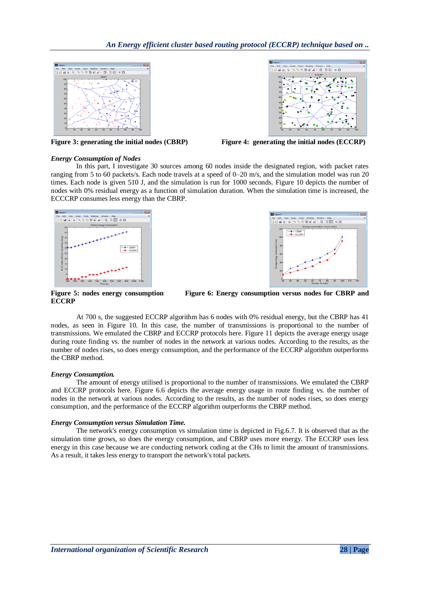



**Figure 3: generating the initial nodes (CBRP) Figure 4: generating the initial nodes (ECCRP)**

#### *Energy Consumption of Nodes*

In this part, I investigate 30 sources among 60 nodes inside the designated region, with packet rates ranging from 5 to 60 packets/s. Each node travels at a speed of 0–20 m/s, and the simulation model was run 20 times. Each node is given 510 J, and the simulation is run for 1000 seconds. Figure 10 depicts the number of nodes with 0% residual energy as a function of simulation duration. When the simulation time is increased, the ECCCRP consumes less energy than the CBRP.





**ECCRP**

Figure 5: nodes energy consumption Figure 6: Energy consumption versus nodes for CBRP and

At 700 s, the suggested ECCRP algorithm has 6 nodes with 0% residual energy, but the CBRP has 41 nodes, as seen in Figure 10. In this case, the number of transmissions is proportional to the number of transmissions. We emulated the CBRP and ECCRP protocols here. Figure 11 depicts the average energy usage during route finding vs. the number of nodes in the network at various nodes. According to the results, as the number of nodes rises, so does energy consumption, and the performance of the ECCRP algorithm outperforms the CBRP method.

#### *Energy Consumption.*

The amount of energy utilised is proportional to the number of transmissions. We emulated the CBRP and ECCRP protocols here. Figure 6.6 depicts the average energy usage in route finding vs. the number of nodes in the network at various nodes. According to the results, as the number of nodes rises, so does energy consumption, and the performance of the ECCRP algorithm outperforms the CBRP method.

## *Energy Consumption versus Simulation Time.*

The network's energy consumption vs simulation time is depicted in Fig.6.7. It is observed that as the simulation time grows, so does the energy consumption, and CBRP uses more energy. The ECCRP uses less energy in this case because we are conducting network coding at the CHs to limit the amount of transmissions. As a result, it takes less energy to transport the network's total packets.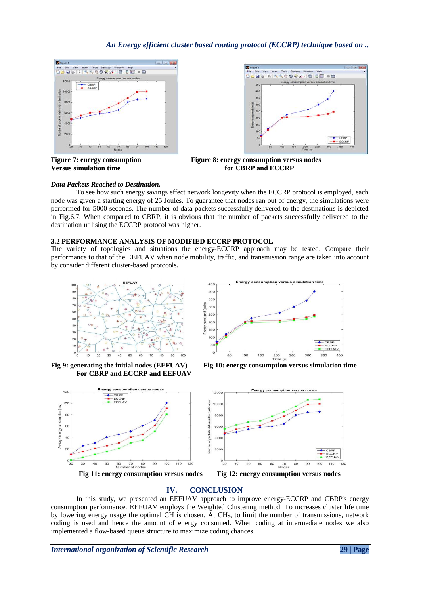



**Figure 7: energy consumption Figure 8: energy consumption versus nodes Versus** simulation time **for CBRP** and **ECCRP** 

#### *Data Packets Reached to Destination.*

To see how such energy savings effect network longevity when the ECCRP protocol is employed, each node was given a starting energy of 25 Joules. To guarantee that nodes ran out of energy, the simulations were performed for 5000 seconds. The number of data packets successfully delivered to the destinations is depicted in Fig.6.7. When compared to CBRP, it is obvious that the number of packets successfully delivered to the destination utilising the ECCRP protocol was higher.

#### **3.2 PERFORMANCE ANALYSIS OF MODIFIED ECCRP PROTOCOL**

The variety of topologies and situations the energy-ECCRP approach may be tested. Compare their performance to that of the EEFUAV when node mobility, traffic, and transmission range are taken into account by consider different cluster-based protocols**.**



Fig 9: generating the initial nodes (EEFUAV) **For CBRP and ECCRP and EEFUAV**



**Fig 10: energy consumption versus simulation time** 





#### **IV. CONCLUSION**

In this study, we presented an EEFUAV approach to improve energy-ECCRP and CBRP's energy consumption performance. EEFUAV employs the Weighted Clustering method. To increases cluster life time by lowering energy usage the optimal CH is chosen. At CHs, to limit the number of transmissions, network coding is used and hence the amount of energy consumed. When coding at intermediate nodes we also implemented a flow-based queue structure to maximize coding chances.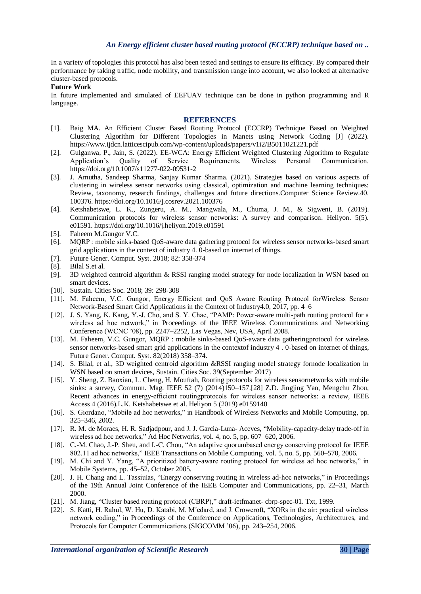In a variety of topologies this protocol has also been tested and settings to ensure its efficacy. By compared their performance by taking traffic, node mobility, and transmission range into account, we also looked at alternative cluster-based protocols.

#### **Future Work**

In future implemented and simulated of EEFUAV technique can be done in python programming and R language.

#### **REFERENCES**

- [1]. Baig MA. An Efficient Cluster Based Routing Protocol (ECCRP) Technique Based on Weighted Clustering Algorithm for Different Topologies in Manets using Network Coding [J] (2022). <https://www.ijdcn.latticescipub.com/wp-content/uploads/papers/v1i2/B5011021221.pdf>
- [2]. Gulganwa, P., Jain, S. (2022). EE-WCA: Energy Efficient Weighted Clustering Algorithm to Regulate Application's Quality of Service Requirements. Wireless Personal Communication. <https://doi.org/10.1007/s11277-022-09531-2>
- [3]. J. Amutha, Sandeep Sharma, Sanjay Kumar Sharma. (2021). Strategies based on various aspects of clustering in wireless sensor networks using classical, optimization and machine learning techniques: Review, taxonomy, research findings, challenges and future directions.Computer Science Review.40. 100376.<https://doi.org/10.1016/j.cosrev.2021.100376>
- [4]. Ketshabetswe, L. K., Zungeru, A. M., Mangwala, M., Chuma, J. M., & Sigweni, B. (2019). Communication protocols for wireless sensor networks: A survey and comparison. Heliyon. 5(5). e01591[. https://doi.org/10.1016/j.heliyon.2019.e01591](https://doi.org/10.1016/j.heliyon.2019.e01591)
- [5]. Faheem M.Gungor V.C.
- [6]. MQRP : mobile sinks-based QoS-aware data gathering protocol for wireless sensor networks-based smart grid applications in the context of industry 4. 0-based on internet of things.
- [7]. Future Gener. Comput. Syst. 2018; 82: 358-374
- [8]. Bilal S.et al.
- [9]. 3D weighted centroid algorithm & RSSI ranging model strategy for node localization in WSN based on smart devices.
- [10]. Sustain. Cities Soc. 2018; 39: 298-308
- [11]. M. Faheem, V.C. Gungor, Energy Efficient and QoS Aware Routing Protocol forWireless Sensor Network-Based Smart Grid Applications in the Context of Industry4.0, 2017, pp. 4–6
- [12]. J. S. Yang, K. Kang, Y.-J. Cho, and S. Y. Chae, "PAMP: Power-aware multi-path routing protocol for a wireless ad hoc network," in Proceedings of the IEEE Wireless Communications and Networking Conference (WCNC '08), pp. 2247–2252, Las Vegas, Nev, USA, April 2008.
- [13]. M. Faheem, V.C. Gungor, MQRP : mobile sinks-based QoS-aware data gatheringprotocol for wireless sensor networks-based smart grid applications in the contextof industry 4 . 0-based on internet of things, Future Gener. Comput. Syst. 82(2018) 358–374.
- [14]. S. Bilal, et al., 3D weighted centroid algorithm &RSSI ranging model strategy fornode localization in WSN based on smart devices, Sustain. Cities Soc. 39(September 2017)
- [15]. Y. Sheng, Z. Baoxian, L. Cheng, H. Mouftah, Routing protocols for wireless sensornetworks with mobile sinks: a survey, Commun. Mag. IEEE 52 (7) (2014)150–157.[28] Z.D. Jingjing Yan, Mengchu Zhou, Recent advances in energy-efficient routingprotocols for wireless sensor networks: a review, IEEE Access 4 (2016).L.K. Ketshabetswe et al. Heliyon 5 (2019) e0159140
- [16]. S. Giordano, "Mobile ad hoc networks," in Handbook of Wireless Networks and Mobile Computing, pp. 325–346, 2002.
- [17]. R. M. de Moraes, H. R. Sadjadpour, and J. J. Garcia-Luna- Aceves, "Mobility-capacity-delay trade-off in wireless ad hoc networks," Ad Hoc Networks, vol. 4, no. 5, pp. 607–620, 2006.
- [18]. C.-M. Chao, J.-P. Sheu, and I.-C. Chou, "An adaptive quorumbased energy conserving protocol for IEEE 802.11 ad hoc networks," IEEE Transactions on Mobile Computing, vol. 5, no. 5, pp. 560–570, 2006.
- [19]. M. Chi and Y. Yang, "A prioritized battery-aware routing protocol for wireless ad hoc networks," in Mobile Systems, pp. 45–52, October 2005.
- [20]. J. H. Chang and L. Tassiulas, "Energy conserving routing in wireless ad-hoc networks," in Proceedings of the 19th Annual Joint Conference of the IEEE Computer and Communications, pp. 22–31, March 2000.
- [21]. M. Jiang, "Cluster based routing protocol (CBRP)," draft-ietfmanet- cbrp-spec-01. Txt, 1999.
- [22]. S. Katti, H. Rahul, W. Hu, D. Katabi, M. M´edard, and J. Crowcroft, "XORs in the air: practical wireless network coding," in Proceedings of the Conference on Applications, Technologies, Architectures, and Protocols for Computer Communications (SIGCOMM '06), pp. 243–254, 2006.